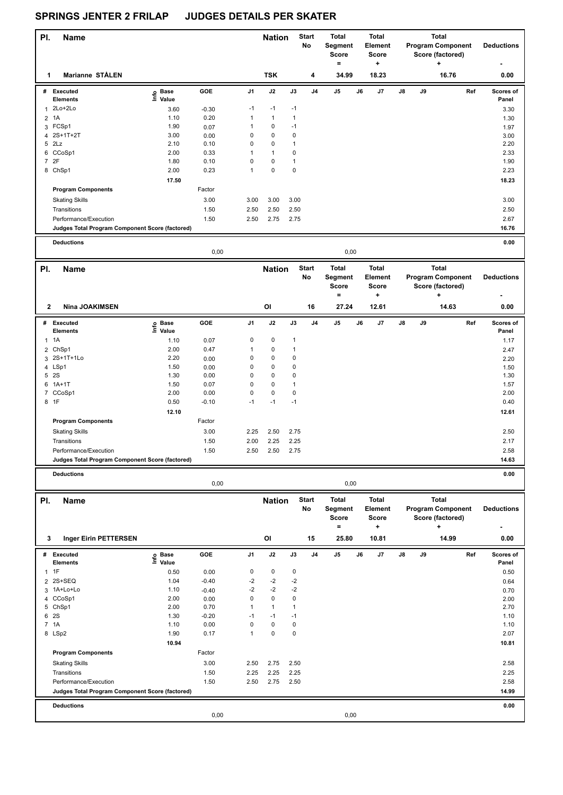| PI.            | <b>Name</b>                                     |                            |                 |                | <b>Nation</b>        |                             | <b>Start</b><br>No | <b>Total</b><br>Segment<br><b>Score</b><br>$=$ |      | <b>Total</b><br>Element<br><b>Score</b><br>+ |    |    | <b>Total</b><br><b>Program Component</b><br>Score (factored)<br>+ |     | <b>Deductions</b>  |
|----------------|-------------------------------------------------|----------------------------|-----------------|----------------|----------------------|-----------------------------|--------------------|------------------------------------------------|------|----------------------------------------------|----|----|-------------------------------------------------------------------|-----|--------------------|
| 1              | Marianne STÅLEN                                 |                            |                 |                | <b>TSK</b>           |                             | 4                  | 34.99                                          |      | 18.23                                        |    |    | 16.76                                                             |     | 0.00               |
|                | # Executed<br><b>Elements</b>                   | e Base<br>E Value<br>Value | GOE             | J1             | J2                   | J3                          | J4                 | J5                                             | J6   | J7                                           | J8 | J9 |                                                                   | Ref | Scores of<br>Panel |
|                | 1 2Lo+2Lo                                       | 3.60                       | $-0.30$         | $-1$           | $-1$                 | $-1$                        |                    |                                                |      |                                              |    |    |                                                                   |     | 3.30               |
| $\overline{2}$ | 1A                                              | 1.10                       | 0.20            | 1              | $\mathbf{1}$         | $\mathbf{1}$                |                    |                                                |      |                                              |    |    |                                                                   |     | 1.30               |
|                | 3 FCSp1                                         | 1.90                       | 0.07            | 1              | 0                    | $-1$                        |                    |                                                |      |                                              |    |    |                                                                   |     | 1.97               |
|                | 4 2S+1T+2T                                      | 3.00                       | 0.00            | 0              | 0                    | $\pmb{0}$                   |                    |                                                |      |                                              |    |    |                                                                   |     | 3.00               |
|                | 5 2Lz                                           | 2.10                       | 0.10            | 0              | 0                    | $\mathbf{1}$                |                    |                                                |      |                                              |    |    |                                                                   |     | 2.20               |
|                | 6 CCoSp1                                        | 2.00                       | 0.33            | 1              | 1                    | $\pmb{0}$                   |                    |                                                |      |                                              |    |    |                                                                   |     | 2.33               |
|                | 7 2F                                            | 1.80                       | 0.10            | 0              | 0                    | $\mathbf{1}$                |                    |                                                |      |                                              |    |    |                                                                   |     | 1.90               |
|                | 8 ChSp1                                         | 2.00                       | 0.23            | 1              | 0                    | $\mathbf 0$                 |                    |                                                |      |                                              |    |    |                                                                   |     | 2.23               |
|                |                                                 | 17.50                      |                 |                |                      |                             |                    |                                                |      |                                              |    |    |                                                                   |     | 18.23              |
|                | <b>Program Components</b>                       |                            | Factor          |                |                      |                             |                    |                                                |      |                                              |    |    |                                                                   |     |                    |
|                | <b>Skating Skills</b>                           |                            | 3.00            | 3.00           | 3.00                 | 3.00                        |                    |                                                |      |                                              |    |    |                                                                   |     | 3.00               |
|                | Transitions                                     |                            | 1.50            | 2.50           | 2.50                 | 2.50                        |                    |                                                |      |                                              |    |    |                                                                   |     | 2.50               |
|                | Performance/Execution                           |                            | 1.50            | 2.50           | 2.75                 | 2.75                        |                    |                                                |      |                                              |    |    |                                                                   |     | 2.67               |
|                | Judges Total Program Component Score (factored) |                            |                 |                |                      |                             |                    |                                                |      |                                              |    |    |                                                                   |     | 16.76              |
|                |                                                 |                            |                 |                |                      |                             |                    |                                                |      |                                              |    |    |                                                                   |     |                    |
|                | <b>Deductions</b>                               |                            | 0,00            |                |                      |                             |                    |                                                | 0,00 |                                              |    |    |                                                                   |     | 0.00               |
|                |                                                 |                            |                 |                |                      |                             | <b>Start</b>       | <b>Total</b>                                   |      | <b>Total</b>                                 |    |    | <b>Total</b>                                                      |     |                    |
| PI.            | <b>Name</b>                                     |                            |                 |                | <b>Nation</b>        |                             | No                 | Segment<br><b>Score</b>                        |      | Element<br><b>Score</b>                      |    |    | <b>Program Component</b><br>Score (factored)                      |     | <b>Deductions</b>  |
|                |                                                 |                            |                 |                |                      |                             |                    | $=$                                            |      | +                                            |    |    |                                                                   |     |                    |
| 2              | <b>Nina JOAKIMSEN</b>                           |                            |                 |                | OI                   |                             | 16                 | 27.24                                          |      | 12.61                                        |    |    | 14.63                                                             |     | 0.00               |
|                | # Executed                                      | ၉ Base<br>$\bar{z}$ Value  | GOE             | J <sub>1</sub> | J2                   | J3                          | J <sub>4</sub>     | J5                                             | J6   | J7                                           | J8 | J9 |                                                                   | Ref | Scores of          |
|                | <b>Elements</b>                                 |                            |                 |                |                      |                             |                    |                                                |      |                                              |    |    |                                                                   |     | Panel              |
|                | 1 1 A                                           | 1.10                       | 0.07            | 0              | 0                    | $\mathbf{1}$                |                    |                                                |      |                                              |    |    |                                                                   |     | 1.17               |
| 2              | ChSp1                                           | 2.00<br>2.20               | 0.47            | 1<br>0         | 0<br>0               | $\mathbf{1}$<br>$\mathbf 0$ |                    |                                                |      |                                              |    |    |                                                                   |     | 2.47               |
|                | 3 2S+1T+1Lo<br>4 LSp1                           | 1.50                       | 0.00            | 0              | 0                    | 0                           |                    |                                                |      |                                              |    |    |                                                                   |     | 2.20               |
|                | 5 2S                                            | 1.30                       | 0.00<br>0.00    | 0              | 0                    | $\mathbf 0$                 |                    |                                                |      |                                              |    |    |                                                                   |     | 1.50<br>1.30       |
| 6              | $1A+1T$                                         | 1.50                       | 0.07            | 0              | 0                    | $\mathbf{1}$                |                    |                                                |      |                                              |    |    |                                                                   |     | 1.57               |
|                | 7 CCoSp1                                        | 2.00                       | 0.00            | 0              | 0                    | $\pmb{0}$                   |                    |                                                |      |                                              |    |    |                                                                   |     | 2.00               |
|                | 8 1F                                            | 0.50                       | $-0.10$         | $-1$           | $-1$                 | $-1$                        |                    |                                                |      |                                              |    |    |                                                                   |     | 0.40               |
|                |                                                 | 12.10                      |                 |                |                      |                             |                    |                                                |      |                                              |    |    |                                                                   |     | 12.61              |
|                | <b>Program Components</b>                       |                            | Factor          |                |                      |                             |                    |                                                |      |                                              |    |    |                                                                   |     |                    |
|                | <b>Skating Skills</b>                           |                            | 3.00            | 2.25           | 2.50                 | 2.75                        |                    |                                                |      |                                              |    |    |                                                                   |     | 2.50               |
|                | Transitions                                     |                            | 1.50            | 2.00           | 2.25                 | 2.25                        |                    |                                                |      |                                              |    |    |                                                                   |     | 2.17               |
|                | Performance/Execution                           |                            | 1.50            | 2.50           | 2.50                 | 2.75                        |                    |                                                |      |                                              |    |    |                                                                   |     | 2.58               |
|                | Judges Total Program Component Score (factored) |                            |                 |                |                      |                             |                    |                                                |      |                                              |    |    |                                                                   |     | 14.63              |
|                |                                                 |                            |                 |                |                      |                             |                    |                                                |      |                                              |    |    |                                                                   |     |                    |
|                | <b>Deductions</b>                               |                            | 0,00            |                |                      |                             |                    |                                                | 0,00 |                                              |    |    |                                                                   |     | 0.00               |
|                |                                                 |                            |                 |                |                      |                             |                    |                                                |      |                                              |    |    |                                                                   |     |                    |
| PI.            | Name                                            |                            |                 |                | <b>Nation</b>        |                             | Start<br>No        | Total<br>Segment                               |      | Total<br>Element                             |    |    | <b>Total</b><br><b>Program Component</b>                          |     | <b>Deductions</b>  |
|                |                                                 |                            |                 |                |                      |                             |                    | Score                                          |      | Score                                        |    |    | Score (factored)                                                  |     |                    |
|                |                                                 |                            |                 |                |                      |                             |                    | $=$                                            |      | ٠                                            |    |    | ٠                                                                 |     |                    |
| 3              | Inger Eirin PETTERSEN                           |                            |                 |                | OI                   |                             | 15                 | 25.80                                          |      | 10.81                                        |    |    | 14.99                                                             |     | 0.00               |
|                | # Executed                                      | e Base<br>E Value          | GOE             | J1             | J2                   | J3                          | J <sub>4</sub>     | J5                                             | J6   | J7                                           | J8 | J9 |                                                                   | Ref | Scores of          |
|                | <b>Elements</b>                                 | Value                      |                 |                |                      |                             |                    |                                                |      |                                              |    |    |                                                                   |     | Panel              |
| 1              | 1F                                              | 0.50                       | 0.00            | 0              | 0                    | $\pmb{0}$                   |                    |                                                |      |                                              |    |    |                                                                   |     | 0.50               |
|                | 2 2S+SEQ                                        | 1.04                       | $-0.40$         | $-2$           | $-2$                 | $-2$                        |                    |                                                |      |                                              |    |    |                                                                   |     | 0.64               |
|                | 3 1A+Lo+Lo                                      | 1.10                       | $-0.40$         | $-2$           | $-2$                 | $-2$                        |                    |                                                |      |                                              |    |    |                                                                   |     | 0.70               |
|                | 4 CCoSp1                                        | 2.00                       | 0.00            | 0              | 0                    | 0                           |                    |                                                |      |                                              |    |    |                                                                   |     | 2.00               |
|                | 5 ChSp1<br>6 2S                                 | 2.00<br>1.30               | 0.70<br>$-0.20$ | 1<br>$-1$      | $\mathbf{1}$<br>$-1$ | $\mathbf{1}$<br>$-1$        |                    |                                                |      |                                              |    |    |                                                                   |     | 2.70               |
|                | 7 1A                                            | 1.10                       | 0.00            | 0              | 0                    | $\pmb{0}$                   |                    |                                                |      |                                              |    |    |                                                                   |     | 1.10<br>1.10       |
|                | 8 LSp2                                          | 1.90                       | 0.17            | $\mathbf{1}$   | 0                    | $\pmb{0}$                   |                    |                                                |      |                                              |    |    |                                                                   |     | 2.07               |
|                |                                                 | 10.94                      |                 |                |                      |                             |                    |                                                |      |                                              |    |    |                                                                   |     | 10.81              |
|                | <b>Program Components</b>                       |                            | Factor          |                |                      |                             |                    |                                                |      |                                              |    |    |                                                                   |     |                    |
|                | <b>Skating Skills</b>                           |                            | 3.00            | 2.50           | 2.75                 | 2.50                        |                    |                                                |      |                                              |    |    |                                                                   |     | 2.58               |
|                | Transitions                                     |                            | 1.50            | 2.25           | 2.25                 | 2.25                        |                    |                                                |      |                                              |    |    |                                                                   |     | 2.25               |
|                | Performance/Execution                           |                            | 1.50            | 2.50           | 2.75                 | 2.50                        |                    |                                                |      |                                              |    |    |                                                                   |     | 2.58               |
|                | Judges Total Program Component Score (factored) |                            |                 |                |                      |                             |                    |                                                |      |                                              |    |    |                                                                   |     | 14.99              |
|                |                                                 |                            |                 |                |                      |                             |                    |                                                |      |                                              |    |    |                                                                   |     |                    |
|                | <b>Deductions</b>                               |                            |                 |                |                      |                             |                    |                                                |      |                                              |    |    |                                                                   |     | 0.00               |
|                |                                                 |                            | 0,00            |                |                      |                             |                    |                                                | 0,00 |                                              |    |    |                                                                   |     |                    |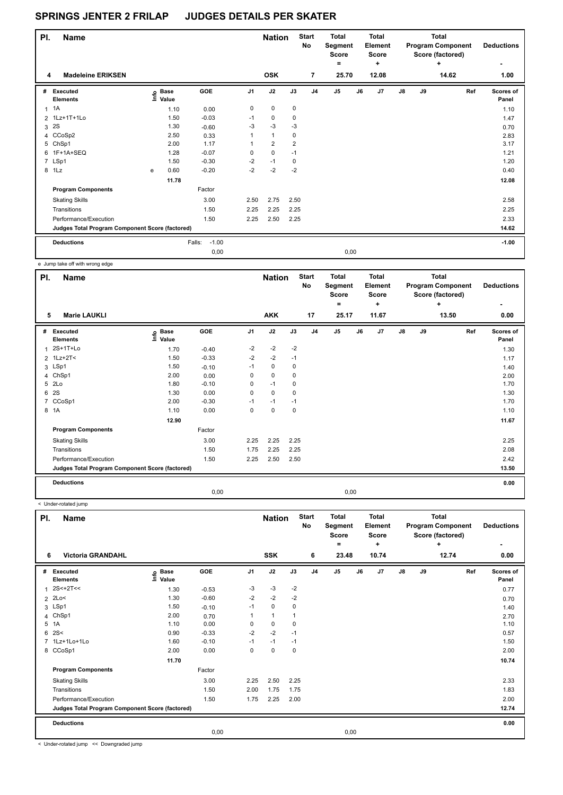| PI.            | <b>Name</b>                                     |   |                                  |                   |                | <b>Nation</b>  |                | <b>Start</b><br>No | <b>Total</b><br>Segment<br><b>Score</b><br>۰ |      | <b>Total</b><br>Element<br>Score<br>$\ddot{}$ |    |    | <b>Total</b><br><b>Program Component</b><br>Score (factored)<br>٠ | <b>Deductions</b>  |
|----------------|-------------------------------------------------|---|----------------------------------|-------------------|----------------|----------------|----------------|--------------------|----------------------------------------------|------|-----------------------------------------------|----|----|-------------------------------------------------------------------|--------------------|
| 4              | <b>Madeleine ERIKSEN</b>                        |   |                                  |                   |                | <b>OSK</b>     |                | $\overline{7}$     | 25.70                                        |      | 12.08                                         |    |    | 14.62                                                             | 1.00               |
| #              | Executed<br><b>Elements</b>                     |   | <b>Base</b><br>e Base<br>E Value | GOE               | J <sub>1</sub> | J2             | J3             | J <sub>4</sub>     | J <sub>5</sub>                               | J6   | J7                                            | J8 | J9 | Ref                                                               | Scores of<br>Panel |
| $\mathbf{1}$   | 1A                                              |   | 1.10                             | 0.00              | 0              | $\mathbf 0$    | 0              |                    |                                              |      |                                               |    |    |                                                                   | 1.10               |
|                | 2 1Lz+1T+1Lo                                    |   | 1.50                             | $-0.03$           | $-1$           | $\mathbf 0$    | $\mathbf 0$    |                    |                                              |      |                                               |    |    |                                                                   | 1.47               |
| 3              | 2S                                              |   | 1.30                             | $-0.60$           | $-3$           | $-3$           | $-3$           |                    |                                              |      |                                               |    |    |                                                                   | 0.70               |
|                | 4 CCoSp2                                        |   | 2.50                             | 0.33              | 1              | $\mathbf{1}$   | $\mathbf 0$    |                    |                                              |      |                                               |    |    |                                                                   | 2.83               |
|                | 5 ChSp1                                         |   | 2.00                             | 1.17              | 1              | $\overline{2}$ | $\overline{2}$ |                    |                                              |      |                                               |    |    |                                                                   | 3.17               |
|                | 6 1F+1A+SEQ                                     |   | 1.28                             | $-0.07$           | 0              | $\mathbf 0$    | $-1$           |                    |                                              |      |                                               |    |    |                                                                   | 1.21               |
| $\overline{7}$ | LSp1                                            |   | 1.50                             | $-0.30$           | $-2$           | $-1$           | $\mathbf 0$    |                    |                                              |      |                                               |    |    |                                                                   | 1.20               |
|                | 8 1Lz                                           | e | 0.60                             | $-0.20$           | $-2$           | $-2$           | $-2$           |                    |                                              |      |                                               |    |    |                                                                   | 0.40               |
|                |                                                 |   | 11.78                            |                   |                |                |                |                    |                                              |      |                                               |    |    |                                                                   | 12.08              |
|                | <b>Program Components</b>                       |   |                                  | Factor            |                |                |                |                    |                                              |      |                                               |    |    |                                                                   |                    |
|                | <b>Skating Skills</b>                           |   |                                  | 3.00              | 2.50           | 2.75           | 2.50           |                    |                                              |      |                                               |    |    |                                                                   | 2.58               |
|                | Transitions                                     |   |                                  | 1.50              | 2.25           | 2.25           | 2.25           |                    |                                              |      |                                               |    |    |                                                                   | 2.25               |
|                | Performance/Execution                           |   |                                  | 1.50              | 2.25           | 2.50           | 2.25           |                    |                                              |      |                                               |    |    |                                                                   | 2.33               |
|                | Judges Total Program Component Score (factored) |   |                                  |                   |                |                |                |                    |                                              |      |                                               |    |    |                                                                   | 14.62              |
|                | <b>Deductions</b>                               |   |                                  | $-1.00$<br>Falls: |                |                |                |                    |                                              |      |                                               |    |    |                                                                   | $-1.00$            |
|                |                                                 |   |                                  | 0,00              |                |                |                |                    |                                              | 0,00 |                                               |    |    |                                                                   |                    |

e Jump take off with wrong edge

| PI. | <b>Name</b>                                     |                                  |         |                | <b>Nation</b> |      | <b>Start</b><br><b>No</b> | Total<br>Segment<br><b>Score</b><br>۰ |    | Total<br>Element<br><b>Score</b><br>٠ |    |    | Total<br><b>Program Component</b><br>Score (factored)<br>$\ddot{}$ | <b>Deductions</b>  |
|-----|-------------------------------------------------|----------------------------------|---------|----------------|---------------|------|---------------------------|---------------------------------------|----|---------------------------------------|----|----|--------------------------------------------------------------------|--------------------|
| 5   | <b>Marie LAUKLI</b>                             |                                  |         |                | <b>AKK</b>    |      | 17                        | 25.17                                 |    | 11.67                                 |    |    | 13.50                                                              | 0.00               |
| #   | <b>Executed</b><br><b>Elements</b>              | <b>Base</b><br>e Base<br>≞ Value | GOE     | J <sub>1</sub> | J2            | J3   | J <sub>4</sub>            | J <sub>5</sub>                        | J6 | J7                                    | J8 | J9 | Ref                                                                | Scores of<br>Panel |
| 1   | 2S+1T+Lo                                        | 1.70                             | $-0.40$ | $-2$           | $-2$          | $-2$ |                           |                                       |    |                                       |    |    |                                                                    | 1.30               |
|     | 2 1Lz+2T<                                       | 1.50                             | $-0.33$ | $-2$           | $-2$          | $-1$ |                           |                                       |    |                                       |    |    |                                                                    | 1.17               |
|     | 3 LSp1                                          | 1.50                             | $-0.10$ | $-1$           | $\mathbf 0$   | 0    |                           |                                       |    |                                       |    |    |                                                                    | 1.40               |
| 4   | ChSp1                                           | 2.00                             | 0.00    | 0              | $\mathbf 0$   | 0    |                           |                                       |    |                                       |    |    |                                                                    | 2.00               |
| 5   | 2Lo                                             | 1.80                             | $-0.10$ | 0              | $-1$          | 0    |                           |                                       |    |                                       |    |    |                                                                    | 1.70               |
| 6   | 2S                                              | 1.30                             | 0.00    | $\Omega$       | 0             | 0    |                           |                                       |    |                                       |    |    |                                                                    | 1.30               |
| 7   | CCoSp1                                          | 2.00                             | $-0.30$ | $-1$           | $-1$          | $-1$ |                           |                                       |    |                                       |    |    |                                                                    | 1.70               |
|     | 8 1A                                            | 1.10                             | 0.00    | 0              | $\mathbf 0$   | 0    |                           |                                       |    |                                       |    |    |                                                                    | 1.10               |
|     |                                                 | 12.90                            |         |                |               |      |                           |                                       |    |                                       |    |    |                                                                    | 11.67              |
|     | <b>Program Components</b>                       |                                  | Factor  |                |               |      |                           |                                       |    |                                       |    |    |                                                                    |                    |
|     | <b>Skating Skills</b>                           |                                  | 3.00    | 2.25           | 2.25          | 2.25 |                           |                                       |    |                                       |    |    |                                                                    | 2.25               |
|     | Transitions                                     |                                  | 1.50    | 1.75           | 2.25          | 2.25 |                           |                                       |    |                                       |    |    |                                                                    | 2.08               |
|     | Performance/Execution                           |                                  | 1.50    | 2.25           | 2.50          | 2.50 |                           |                                       |    |                                       |    |    |                                                                    | 2.42               |
|     | Judges Total Program Component Score (factored) |                                  |         |                |               |      |                           |                                       |    |                                       |    |    |                                                                    | 13.50              |
|     | <b>Deductions</b>                               |                                  |         |                |               |      |                           |                                       |    |                                       |    |    |                                                                    | 0.00               |
|     |                                                 |                                  | 0,00    |                |               |      |                           | 0,00                                  |    |                                       |    |    |                                                                    |                    |

< Under-rotated jump

| PI.            | Name                                            |                                  |         |                | <b>Nation</b> |             | <b>Start</b><br>No | <b>Total</b><br>Segment<br><b>Score</b><br>٠ |      | <b>Total</b><br>Element<br>Score<br>٠ |               |    | <b>Total</b><br><b>Program Component</b><br>Score (factored)<br>÷ | <b>Deductions</b>  |
|----------------|-------------------------------------------------|----------------------------------|---------|----------------|---------------|-------------|--------------------|----------------------------------------------|------|---------------------------------------|---------------|----|-------------------------------------------------------------------|--------------------|
| 6              | <b>Victoria GRANDAHL</b>                        |                                  |         |                | <b>SSK</b>    |             | 6                  | 23.48                                        |      | 10.74                                 |               |    | 12.74                                                             | 0.00               |
| #              | Executed<br><b>Elements</b>                     | <b>Base</b><br>e Base<br>⊆ Value | GOE     | J <sub>1</sub> | J2            | J3          | J <sub>4</sub>     | J <sub>5</sub>                               | J6   | J7                                    | $\mathsf{J}8$ | J9 | Ref                                                               | Scores of<br>Panel |
| 1              | $2S<+2T<<$                                      | 1.30                             | $-0.53$ | $-3$           | $-3$          | $-2$        |                    |                                              |      |                                       |               |    |                                                                   | 0.77               |
| $\overline{2}$ | 2Lo<                                            | 1.30                             | $-0.60$ | $-2$           | $-2$          | $-2$        |                    |                                              |      |                                       |               |    |                                                                   | 0.70               |
|                | 3 LSp1                                          | 1.50                             | $-0.10$ | $-1$           | 0             | 0           |                    |                                              |      |                                       |               |    |                                                                   | 1.40               |
|                | 4 ChSp1                                         | 2.00                             | 0.70    | 1              | $\mathbf{1}$  | 1           |                    |                                              |      |                                       |               |    |                                                                   | 2.70               |
| 5              | 1A                                              | 1.10                             | 0.00    | 0              | $\mathbf 0$   | $\mathbf 0$ |                    |                                              |      |                                       |               |    |                                                                   | 1.10               |
| 6              | 2S<                                             | 0.90                             | $-0.33$ | $-2$           | $-2$          | $-1$        |                    |                                              |      |                                       |               |    |                                                                   | 0.57               |
| $\overline{7}$ | 1Lz+1Lo+1Lo                                     | 1.60                             | $-0.10$ | $-1$           | $-1$          | $-1$        |                    |                                              |      |                                       |               |    |                                                                   | 1.50               |
|                | 8 CCoSp1                                        | 2.00                             | 0.00    | 0              | 0             | 0           |                    |                                              |      |                                       |               |    |                                                                   | 2.00               |
|                |                                                 | 11.70                            |         |                |               |             |                    |                                              |      |                                       |               |    |                                                                   | 10.74              |
|                | <b>Program Components</b>                       |                                  | Factor  |                |               |             |                    |                                              |      |                                       |               |    |                                                                   |                    |
|                | <b>Skating Skills</b>                           |                                  | 3.00    | 2.25           | 2.50          | 2.25        |                    |                                              |      |                                       |               |    |                                                                   | 2.33               |
|                | Transitions                                     |                                  | 1.50    | 2.00           | 1.75          | 1.75        |                    |                                              |      |                                       |               |    |                                                                   | 1.83               |
|                | Performance/Execution                           |                                  | 1.50    | 1.75           | 2.25          | 2.00        |                    |                                              |      |                                       |               |    |                                                                   | 2.00               |
|                | Judges Total Program Component Score (factored) |                                  |         |                |               |             |                    |                                              |      |                                       |               |    |                                                                   | 12.74              |
|                | <b>Deductions</b>                               |                                  |         |                |               |             |                    |                                              |      |                                       |               |    |                                                                   | 0.00               |
|                |                                                 |                                  | 0,00    |                |               |             |                    |                                              | 0,00 |                                       |               |    |                                                                   |                    |

< Under-rotated jump << Downgraded jump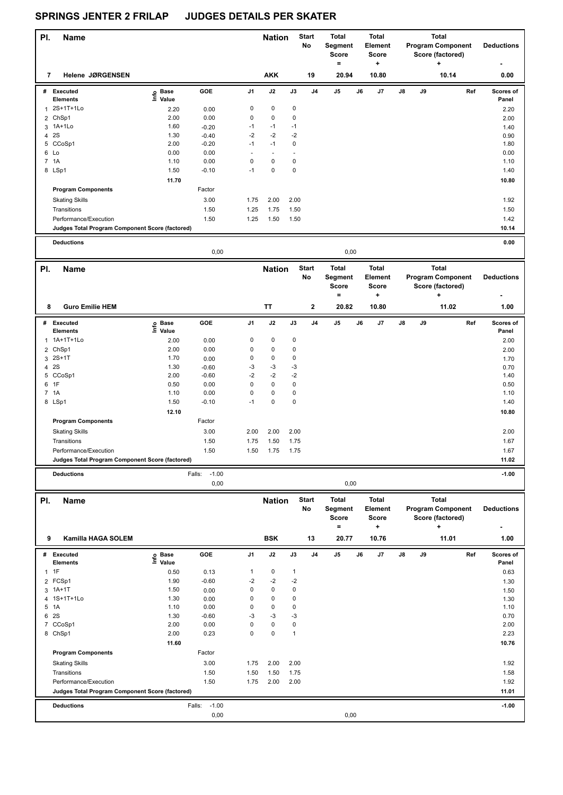| PI.            | <b>Name</b>                                     |                            |                           |                | <b>Nation</b> |                | <b>Start</b><br>No | Total<br>Segment<br><b>Score</b><br>$\equiv$ |      | <b>Total</b><br>Element<br><b>Score</b><br>+ |    |    | <b>Total</b><br><b>Program Component</b><br>Score (factored)<br>٠ | <b>Deductions</b>  |
|----------------|-------------------------------------------------|----------------------------|---------------------------|----------------|---------------|----------------|--------------------|----------------------------------------------|------|----------------------------------------------|----|----|-------------------------------------------------------------------|--------------------|
| 7              | Helene JØRGENSEN                                |                            |                           |                | <b>AKK</b>    |                | 19                 | 20.94                                        |      | 10.80                                        |    |    | 10.14                                                             | 0.00               |
|                | # Executed<br><b>Elements</b>                   | e Base<br>E Value<br>Value | GOE                       | J <sub>1</sub> | J2            | J3             | J <sub>4</sub>     | J5                                           | J6   | J7                                           | J8 | J9 | Ref                                                               | Scores of<br>Panel |
| 1              | 2S+1T+1Lo                                       | 2.20                       | 0.00                      | 0              | 0             | 0              |                    |                                              |      |                                              |    |    |                                                                   | 2.20               |
| $\overline{2}$ | ChSp1                                           | 2.00                       | 0.00                      | 0              | 0             | 0              |                    |                                              |      |                                              |    |    |                                                                   | 2.00               |
|                | 3 1A+1Lo                                        | 1.60                       | $-0.20$                   | $-1$           | $-1$          | $-1$           |                    |                                              |      |                                              |    |    |                                                                   | 1.40               |
| 4              | 2S                                              | 1.30                       | $-0.40$                   | $-2$           | $-2$          | $-2$           |                    |                                              |      |                                              |    |    |                                                                   | 0.90               |
|                | 5 CCoSp1                                        | 2.00                       | $-0.20$                   | $-1$           | $-1$          | $\pmb{0}$      |                    |                                              |      |                                              |    |    |                                                                   | 1.80               |
| 6 Lo           |                                                 | 0.00                       | 0.00                      | $\overline{a}$ | ä,            |                |                    |                                              |      |                                              |    |    |                                                                   | 0.00               |
| 7 1A           |                                                 | 1.10                       | 0.00                      | 0              | 0             | $\pmb{0}$      |                    |                                              |      |                                              |    |    |                                                                   | 1.10               |
|                | 8 LSp1                                          | 1.50                       | $-0.10$                   | $-1$           | 0             | $\mathbf 0$    |                    |                                              |      |                                              |    |    |                                                                   | 1.40               |
|                |                                                 | 11.70                      |                           |                |               |                |                    |                                              |      |                                              |    |    |                                                                   | 10.80              |
|                | <b>Program Components</b>                       |                            | Factor                    |                |               |                |                    |                                              |      |                                              |    |    |                                                                   |                    |
|                | <b>Skating Skills</b>                           |                            | 3.00                      | 1.75           | 2.00          | 2.00           |                    |                                              |      |                                              |    |    |                                                                   | 1.92               |
|                | Transitions                                     |                            | 1.50                      | 1.25           | 1.75          | 1.50           |                    |                                              |      |                                              |    |    |                                                                   | 1.50               |
|                | Performance/Execution                           |                            | 1.50                      | 1.25           | 1.50          | 1.50           |                    |                                              |      |                                              |    |    |                                                                   | 1.42               |
|                | Judges Total Program Component Score (factored) |                            |                           |                |               |                |                    |                                              |      |                                              |    |    |                                                                   | 10.14              |
|                | <b>Deductions</b>                               |                            | 0,00                      |                |               |                |                    |                                              | 0,00 |                                              |    |    |                                                                   | 0.00               |
|                |                                                 |                            |                           |                |               |                |                    |                                              |      |                                              |    |    |                                                                   |                    |
| PI.            | <b>Name</b>                                     |                            |                           |                | <b>Nation</b> |                | <b>Start</b><br>No | <b>Total</b><br>Segment<br><b>Score</b>      |      | <b>Total</b><br>Element<br><b>Score</b>      |    |    | <b>Total</b><br><b>Program Component</b><br>Score (factored)      | <b>Deductions</b>  |
| 8              | <b>Guro Emilie HEM</b>                          |                            |                           |                | <b>TT</b>     |                | $\mathbf{2}$       | $=$<br>20.82                                 |      | ÷<br>10.80                                   |    |    | +<br>11.02                                                        | 1.00               |
|                | # Executed                                      | ၉ Base                     | GOE                       | J1             | J2            | J3             | J <sub>4</sub>     | J5                                           | J6   | J7                                           | J8 | J9 | Ref                                                               | Scores of          |
|                | <b>Elements</b>                                 | $\bar{E}$ Value            |                           |                |               |                |                    |                                              |      |                                              |    |    |                                                                   | Panel              |
| 1              | 1A+1T+1Lo                                       | 2.00                       | 0.00                      | 0              | 0             | 0              |                    |                                              |      |                                              |    |    |                                                                   | 2.00               |
|                | 2 ChSp1                                         | 2.00                       | 0.00                      | 0              | 0             | 0              |                    |                                              |      |                                              |    |    |                                                                   | 2.00               |
|                | 3 2S+1T                                         | 1.70                       | 0.00                      | 0              | 0             | $\pmb{0}$      |                    |                                              |      |                                              |    |    |                                                                   | 1.70               |
| 4 2S           |                                                 | 1.30                       | $-0.60$                   | $-3$           | $-3$          | -3             |                    |                                              |      |                                              |    |    |                                                                   | 0.70               |
|                | 5 CCoSp1                                        | 2.00                       | $-0.60$                   | $-2$           | $-2$          | $-2$           |                    |                                              |      |                                              |    |    |                                                                   | 1.40               |
| 6 1F           |                                                 | 0.50                       | 0.00                      | 0              | 0             | 0              |                    |                                              |      |                                              |    |    |                                                                   | 0.50               |
| 7 1A           |                                                 | 1.10                       | 0.00                      | 0<br>$-1$      | 0<br>0        | $\pmb{0}$<br>0 |                    |                                              |      |                                              |    |    |                                                                   | 1.10               |
|                | 8 LSp1                                          | 1.50<br>12.10              | $-0.10$                   |                |               |                |                    |                                              |      |                                              |    |    |                                                                   | 1.40               |
|                | <b>Program Components</b>                       |                            | Factor                    |                |               |                |                    |                                              |      |                                              |    |    |                                                                   | 10.80              |
|                |                                                 |                            |                           |                |               |                |                    |                                              |      |                                              |    |    |                                                                   |                    |
|                | <b>Skating Skills</b>                           |                            | 3.00                      | 2.00           | 2.00          | 2.00           |                    |                                              |      |                                              |    |    |                                                                   | 2.00               |
|                | Transitions                                     |                            | 1.50                      | 1.75           | 1.50          | 1.75           |                    |                                              |      |                                              |    |    |                                                                   | 1.67               |
|                | Performance/Execution                           |                            | 1.50                      | 1.50           | 1.75          | 1.75           |                    |                                              |      |                                              |    |    |                                                                   | 1.67               |
|                | Judges Total Program Component Score (factored) |                            |                           |                |               |                |                    |                                              |      |                                              |    |    |                                                                   | 11.02              |
|                | <b>Deductions</b>                               |                            | $-1.00$<br>Falls:<br>0,00 |                |               |                |                    |                                              | 0,00 |                                              |    |    |                                                                   | $-1.00$            |
|                |                                                 |                            |                           |                |               |                | <b>Start</b>       | <b>Total</b>                                 |      | <b>Total</b>                                 |    |    | Total                                                             |                    |
| PI.            | <b>Name</b>                                     |                            |                           |                | <b>Nation</b> |                | No                 | Segment<br>Score<br>$=$                      |      | Element<br>Score<br>÷                        |    |    | <b>Program Component</b><br>Score (factored)<br>٠                 | <b>Deductions</b>  |
| 9              | Kamilla HAGA SOLEM                              |                            |                           |                | <b>BSK</b>    |                | 13                 | 20.77                                        |      | 10.76                                        |    |    | 11.01                                                             | 1.00               |
|                | # Executed<br><b>Elements</b>                   | e Base<br>⊑ Value          | GOE                       | J <sub>1</sub> | J2            | J3             | J <sub>4</sub>     | J5                                           | J6   | J7                                           | J8 | J9 | Ref                                                               | Scores of<br>Panel |
| $1$ 1F         |                                                 | 0.50                       | 0.13                      | $\mathbf{1}$   | 0             | $\mathbf{1}$   |                    |                                              |      |                                              |    |    |                                                                   | 0.63               |
|                | 2 FCSp1                                         | 1.90                       | $-0.60$                   | $-2$           | $-2$          | $-2$           |                    |                                              |      |                                              |    |    |                                                                   | 1.30               |
|                | 3 1A+1T                                         | 1.50                       | 0.00                      | 0              | 0             | 0              |                    |                                              |      |                                              |    |    |                                                                   | 1.50               |
|                | 4 1S+1T+1Lo                                     | 1.30                       | 0.00                      | 0<br>0         | 0<br>0        | 0<br>$\pmb{0}$ |                    |                                              |      |                                              |    |    |                                                                   | 1.30               |
| 5 1A<br>6 2S   |                                                 | 1.10<br>1.30               | 0.00<br>$-0.60$           | $-3$           | $-3$          | $-3$           |                    |                                              |      |                                              |    |    |                                                                   | 1.10<br>0.70       |
|                | 7 CCoSp1                                        | 2.00                       | 0.00                      | 0              | 0             | $\pmb{0}$      |                    |                                              |      |                                              |    |    |                                                                   | 2.00               |
|                | 8 ChSp1                                         | 2.00                       | 0.23                      | 0              | 0             | $\mathbf{1}$   |                    |                                              |      |                                              |    |    |                                                                   | 2.23               |
|                |                                                 | 11.60                      |                           |                |               |                |                    |                                              |      |                                              |    |    |                                                                   | 10.76              |
|                | <b>Program Components</b>                       |                            | Factor                    |                |               |                |                    |                                              |      |                                              |    |    |                                                                   |                    |
|                | <b>Skating Skills</b>                           |                            | 3.00                      | 1.75           | 2.00          | 2.00           |                    |                                              |      |                                              |    |    |                                                                   | 1.92               |
|                | Transitions                                     |                            | 1.50                      | 1.50           | 1.50          | 1.75           |                    |                                              |      |                                              |    |    |                                                                   | 1.58               |
|                | Performance/Execution                           |                            | 1.50                      | 1.75           | 2.00          | 2.00           |                    |                                              |      |                                              |    |    |                                                                   | 1.92               |
|                | Judges Total Program Component Score (factored) |                            |                           |                |               |                |                    |                                              |      |                                              |    |    |                                                                   | 11.01              |
|                |                                                 |                            |                           |                |               |                |                    |                                              |      |                                              |    |    |                                                                   |                    |
|                | <b>Deductions</b>                               |                            | $-1.00$<br>Falls:<br>0,00 |                |               |                |                    |                                              | 0,00 |                                              |    |    |                                                                   | $-1.00$            |
|                |                                                 |                            |                           |                |               |                |                    |                                              |      |                                              |    |    |                                                                   |                    |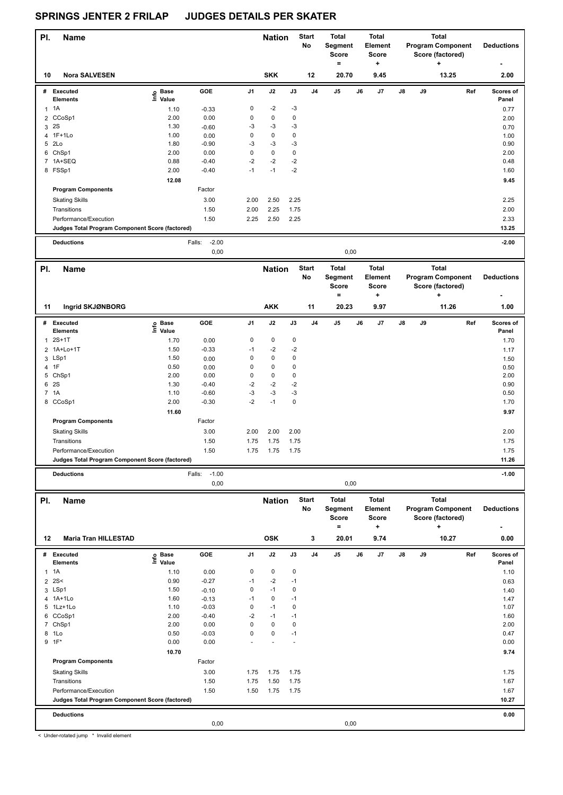| PI.            | Name                                            |                      |                    |              | <b>Nation</b>       |               | <b>Start</b><br>No | <b>Total</b><br>Segment<br><b>Score</b><br>$\equiv$ |    | <b>Total</b><br>Element<br><b>Score</b><br>÷ |    |    | <b>Total</b><br><b>Program Component</b><br>Score (factored)<br>٠ | <b>Deductions</b>  |
|----------------|-------------------------------------------------|----------------------|--------------------|--------------|---------------------|---------------|--------------------|-----------------------------------------------------|----|----------------------------------------------|----|----|-------------------------------------------------------------------|--------------------|
| 10             | Nora SALVESEN                                   |                      |                    |              | <b>SKK</b>          |               | 12                 | 20.70                                               |    | 9.45                                         |    |    | 13.25                                                             | 2.00               |
|                | # Executed<br><b>Elements</b>                   | o Base<br>直<br>Value | GOE                | J1           | J2                  | $\mathsf{J3}$ | J <sub>4</sub>     | $\mathsf{J}5$                                       | J6 | J7                                           | J8 | J9 | Ref                                                               | Scores of<br>Panel |
| 1              | 1A                                              | 1.10                 | $-0.33$            | 0            | $-2$                | $-3$          |                    |                                                     |    |                                              |    |    |                                                                   | 0.77               |
| $\overline{2}$ | CCoSp1                                          | 2.00                 | 0.00               | $\mathbf 0$  | $\pmb{0}$           | $\pmb{0}$     |                    |                                                     |    |                                              |    |    |                                                                   | 2.00               |
|                | 3 2S                                            | 1.30                 | $-0.60$            | -3           | $-3$                | $-3$          |                    |                                                     |    |                                              |    |    |                                                                   | 0.70               |
| 4              | $1F+1Lo$<br>5 2Lo                               | 1.00<br>1.80         | 0.00<br>$-0.90$    | 0<br>$-3$    | $\pmb{0}$<br>$-3$   | 0<br>$-3$     |                    |                                                     |    |                                              |    |    |                                                                   | 1.00<br>0.90       |
| 6              | ChSp1                                           | 2.00                 | 0.00               | 0            | $\pmb{0}$           | $\pmb{0}$     |                    |                                                     |    |                                              |    |    |                                                                   | 2.00               |
|                | 7 1A+SEQ                                        | 0.88                 | $-0.40$            | $-2$         | $-2$                | $-2$          |                    |                                                     |    |                                              |    |    |                                                                   | 0.48               |
|                | 8 FSSp1                                         | 2.00                 | $-0.40$            | $-1$         | $-1$                | $-2$          |                    |                                                     |    |                                              |    |    |                                                                   | 1.60               |
|                |                                                 | 12.08                |                    |              |                     |               |                    |                                                     |    |                                              |    |    |                                                                   | 9.45               |
|                | <b>Program Components</b>                       |                      | Factor             |              |                     |               |                    |                                                     |    |                                              |    |    |                                                                   |                    |
|                | <b>Skating Skills</b>                           |                      | 3.00               | 2.00         | 2.50                | 2.25          |                    |                                                     |    |                                              |    |    |                                                                   | 2.25               |
|                | Transitions                                     |                      | 1.50               | 2.00         | 2.25                | 1.75          |                    |                                                     |    |                                              |    |    |                                                                   | 2.00               |
|                | Performance/Execution                           |                      | 1.50               | 2.25         | 2.50                | 2.25          |                    |                                                     |    |                                              |    |    |                                                                   | 2.33               |
|                | Judges Total Program Component Score (factored) |                      |                    |              |                     |               |                    |                                                     |    |                                              |    |    |                                                                   | 13.25              |
|                | <b>Deductions</b>                               |                      | $-2.00$<br>Falls:  |              |                     |               |                    |                                                     |    |                                              |    |    |                                                                   | $-2.00$            |
|                |                                                 |                      | 0,00               |              |                     |               |                    | 0,00                                                |    |                                              |    |    |                                                                   |                    |
| PI.            | <b>Name</b>                                     |                      |                    |              | <b>Nation</b>       |               | <b>Start</b>       | <b>Total</b>                                        |    | <b>Total</b>                                 |    |    | <b>Total</b>                                                      |                    |
|                |                                                 |                      |                    |              |                     |               | No                 | Segment                                             |    | Element                                      |    |    | <b>Program Component</b>                                          | <b>Deductions</b>  |
|                |                                                 |                      |                    |              |                     |               |                    | Score                                               |    | Score                                        |    |    | Score (factored)                                                  |                    |
|                |                                                 |                      |                    |              |                     |               |                    | $=$                                                 |    | ÷                                            |    |    | ÷                                                                 |                    |
| 11             | Ingrid SKJØNBORG                                |                      |                    |              | <b>AKK</b>          |               | 11                 | 20.23                                               |    | 9.97                                         |    |    | 11.26                                                             | 1.00               |
|                | # Executed                                      | ၉ Base               | GOE                | J1           | J2                  | J3            | J4                 | J5                                                  | J6 | J7                                           | J8 | J9 | Ref                                                               | Scores of          |
|                | Elements                                        | $\bar{z}$ Value      |                    |              |                     |               |                    |                                                     |    |                                              |    |    |                                                                   | Panel              |
| 1              | $2S+1T$                                         | 1.70                 | 0.00               | $\mathbf 0$  | $\pmb{0}$           | $\pmb{0}$     |                    |                                                     |    |                                              |    |    |                                                                   | 1.70               |
|                | 2 1A+Lo+1T<br>3 LSp1                            | 1.50<br>1.50         | $-0.33$<br>0.00    | $-1$<br>0    | $-2$<br>$\pmb{0}$   | $-2$<br>0     |                    |                                                     |    |                                              |    |    |                                                                   | 1.17<br>1.50       |
| 4              | 1F                                              | 0.50                 | 0.00               | 0            | $\pmb{0}$           | 0             |                    |                                                     |    |                                              |    |    |                                                                   | 0.50               |
| 5              | ChSp1                                           | 2.00                 | 0.00               | $\mathbf 0$  | $\pmb{0}$           | $\pmb{0}$     |                    |                                                     |    |                                              |    |    |                                                                   | 2.00               |
| 6              | 2S                                              | 1.30                 | $-0.40$            | $-2$         | $-2$                | $-2$          |                    |                                                     |    |                                              |    |    |                                                                   | 0.90               |
|                | 7 1A                                            | 1.10                 | $-0.60$            | -3           | $-3$                | $-3$          |                    |                                                     |    |                                              |    |    |                                                                   | 0.50               |
|                | 8 CCoSp1                                        | 2.00                 | $-0.30$            | $-2$         | $-1$                | 0             |                    |                                                     |    |                                              |    |    |                                                                   | 1.70               |
|                |                                                 | 11.60                |                    |              |                     |               |                    |                                                     |    |                                              |    |    |                                                                   | 9.97               |
|                | <b>Program Components</b>                       |                      | Factor             |              |                     |               |                    |                                                     |    |                                              |    |    |                                                                   |                    |
|                | <b>Skating Skills</b>                           |                      | 3.00               | 2.00         | 2.00                | 2.00          |                    |                                                     |    |                                              |    |    |                                                                   | 2.00               |
|                | Transitions<br>Performance/Execution            |                      | 1.50<br>1.50       | 1.75<br>1.75 | 1.75<br>1.75        | 1.75<br>1.75  |                    |                                                     |    |                                              |    |    |                                                                   | 1.75<br>1.75       |
|                | Judges Total Program Component Score (factored) |                      |                    |              |                     |               |                    |                                                     |    |                                              |    |    |                                                                   | 11.26              |
|                | <b>Deductions</b>                               |                      | $-1.00$<br>Falls:  |              |                     |               |                    |                                                     |    |                                              |    |    |                                                                   | $-1.00$            |
|                |                                                 |                      | 0,00               |              |                     |               |                    | 0,00                                                |    |                                              |    |    |                                                                   |                    |
|                |                                                 |                      |                    |              |                     |               |                    |                                                     |    |                                              |    |    |                                                                   |                    |
| PI.            | <b>Name</b>                                     |                      |                    |              | <b>Nation</b>       |               | <b>Start</b><br>No | <b>Total</b><br>Segment                             |    | <b>Total</b><br>Element                      |    |    | Total<br><b>Program Component</b>                                 | <b>Deductions</b>  |
|                |                                                 |                      |                    |              |                     |               |                    | Score                                               |    | Score                                        |    |    | Score (factored)                                                  |                    |
|                |                                                 |                      |                    |              |                     |               |                    | $\equiv$                                            |    | $\ddot{}$                                    |    |    | ٠                                                                 |                    |
| 12             | <b>Maria Tran HILLESTAD</b>                     |                      |                    |              | <b>OSK</b>          |               | 3                  | 20.01                                               |    | 9.74                                         |    |    | 10.27                                                             | 0.00               |
|                | # Executed                                      |                      | GOE                | J1           | J2                  | J3            | J4                 | J5                                                  | J6 | J7                                           | J8 | J9 | Ref                                                               | Scores of          |
|                | <b>Elements</b>                                 | e Base<br>⊑ Value    |                    |              |                     |               |                    |                                                     |    |                                              |    |    |                                                                   | Panel              |
| $\mathbf{1}$   | 1A                                              | 1.10                 | 0.00               | 0            | 0                   | 0             |                    |                                                     |    |                                              |    |    |                                                                   | 1.10               |
|                | $2 \, 2S <$                                     | 0.90                 | $-0.27$            | $-1$         | $-2$                | $-1$          |                    |                                                     |    |                                              |    |    |                                                                   | 0.63               |
|                | 3 LSp1<br>4 1A+1Lo                              | 1.50<br>1.60         | $-0.10$            | 0<br>$-1$    | $-1$<br>$\mathbf 0$ | 0<br>$-1$     |                    |                                                     |    |                                              |    |    |                                                                   | 1.40               |
|                | 5 1Lz+1Lo                                       | 1.10                 | $-0.13$<br>$-0.03$ | 0            | $-1$                | 0             |                    |                                                     |    |                                              |    |    |                                                                   | 1.47<br>1.07       |
|                | 6 CCoSp1                                        | 2.00                 | $-0.40$            | $-2$         | $-1$                | $-1$          |                    |                                                     |    |                                              |    |    |                                                                   | 1.60               |
|                | 7 ChSp1                                         | 2.00                 | 0.00               | 0            | $\pmb{0}$           | 0             |                    |                                                     |    |                                              |    |    |                                                                   | 2.00               |
|                | 8 1Lo                                           | 0.50                 | $-0.03$            | 0            | $\pmb{0}$           | $-1$          |                    |                                                     |    |                                              |    |    |                                                                   | 0.47               |
|                | $9 \t1F*$                                       | 0.00                 | 0.00               |              |                     |               |                    |                                                     |    |                                              |    |    |                                                                   | 0.00               |
|                |                                                 | 10.70                |                    |              |                     |               |                    |                                                     |    |                                              |    |    |                                                                   | 9.74               |
|                | <b>Program Components</b>                       |                      | Factor             |              |                     |               |                    |                                                     |    |                                              |    |    |                                                                   |                    |
|                | <b>Skating Skills</b>                           |                      | 3.00               | 1.75         | 1.75                | 1.75          |                    |                                                     |    |                                              |    |    |                                                                   | 1.75               |
|                | Transitions<br>Performance/Execution            |                      | 1.50<br>1.50       | 1.75<br>1.50 | 1.50<br>1.75        | 1.75<br>1.75  |                    |                                                     |    |                                              |    |    |                                                                   | 1.67<br>1.67       |
|                | Judges Total Program Component Score (factored) |                      |                    |              |                     |               |                    |                                                     |    |                                              |    |    |                                                                   | 10.27              |
|                |                                                 |                      |                    |              |                     |               |                    |                                                     |    |                                              |    |    |                                                                   |                    |
|                | <b>Deductions</b>                               |                      | 0,00               |              |                     |               |                    | 0,00                                                |    |                                              |    |    |                                                                   | 0.00               |
|                | < Under-rotated jump * Invalid element          |                      |                    |              |                     |               |                    |                                                     |    |                                              |    |    |                                                                   |                    |

tated jump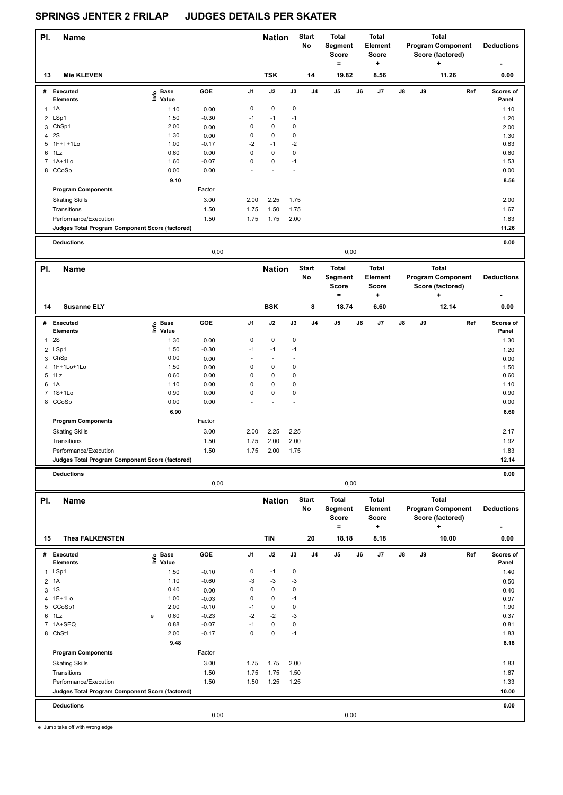| PI.            | <b>Name</b>                                     |                                                          |                    |             | <b>Nation</b>     |                   | <b>Start</b><br>No | Total<br>Segment<br>Score<br>$\equiv$ |      | <b>Total</b><br>Element<br>Score<br>÷ |    |    | <b>Total</b><br><b>Program Component</b><br>Score (factored)<br>٠ | <b>Deductions</b>  |
|----------------|-------------------------------------------------|----------------------------------------------------------|--------------------|-------------|-------------------|-------------------|--------------------|---------------------------------------|------|---------------------------------------|----|----|-------------------------------------------------------------------|--------------------|
| 13             | <b>Mie KLEVEN</b>                               |                                                          |                    |             | <b>TSK</b>        |                   | 14                 | 19.82                                 |      | 8.56                                  |    |    | 11.26                                                             | 0.00               |
|                | # Executed<br><b>Elements</b>                   | <b>Base</b><br>$\mathop{\mathsf{Irr}}\nolimits$<br>Value | GOE                | J1          | J2                | $\mathsf{J3}$     | J4                 | J5                                    | J6   | J7                                    | J8 | J9 | Ref                                                               | Scores of<br>Panel |
| $\mathbf{1}$   | 1A                                              | 1.10                                                     | 0.00               | $\pmb{0}$   | $\pmb{0}$         | 0                 |                    |                                       |      |                                       |    |    |                                                                   | 1.10               |
|                | 2 LSp1                                          | 1.50                                                     | $-0.30$            | $-1$        | $-1$              | $-1$              |                    |                                       |      |                                       |    |    |                                                                   | 1.20               |
|                | 3 ChSp1                                         | 2.00                                                     | 0.00               | $\mathbf 0$ | $\pmb{0}$         | $\pmb{0}$         |                    |                                       |      |                                       |    |    |                                                                   | 2.00               |
| 4 2 S          |                                                 | 1.30                                                     | 0.00               | 0           | $\pmb{0}$         | $\pmb{0}$         |                    |                                       |      |                                       |    |    |                                                                   | 1.30               |
| 5              | $1F+T+1Lo$                                      | 1.00                                                     | $-0.17$            | $-2$        | $-1$              | $-2$              |                    |                                       |      |                                       |    |    |                                                                   | 0.83               |
|                | 6 1Lz                                           | 0.60                                                     | 0.00               | 0           | $\pmb{0}$         | $\pmb{0}$         |                    |                                       |      |                                       |    |    |                                                                   | 0.60               |
|                | 7 1A+1Lo                                        | 1.60                                                     | $-0.07$            | 0           | 0                 | $-1$              |                    |                                       |      |                                       |    |    |                                                                   | 1.53               |
|                | 8 CCoSp                                         | 0.00                                                     | 0.00               |             |                   |                   |                    |                                       |      |                                       |    |    |                                                                   | 0.00               |
|                |                                                 | 9.10                                                     |                    |             |                   |                   |                    |                                       |      |                                       |    |    |                                                                   | 8.56               |
|                | <b>Program Components</b>                       |                                                          | Factor             |             |                   |                   |                    |                                       |      |                                       |    |    |                                                                   |                    |
|                | <b>Skating Skills</b>                           |                                                          | 3.00               | 2.00        | 2.25              | 1.75              |                    |                                       |      |                                       |    |    |                                                                   | 2.00               |
|                | Transitions                                     |                                                          | 1.50               | 1.75        | 1.50              | 1.75              |                    |                                       |      |                                       |    |    |                                                                   | 1.67               |
|                | Performance/Execution                           |                                                          | 1.50               | 1.75        | 1.75              | 2.00              |                    |                                       |      |                                       |    |    |                                                                   | 1.83               |
|                | Judges Total Program Component Score (factored) |                                                          |                    |             |                   |                   |                    |                                       |      |                                       |    |    |                                                                   | 11.26              |
|                | <b>Deductions</b>                               |                                                          |                    |             |                   |                   |                    |                                       |      |                                       |    |    |                                                                   | 0.00               |
|                |                                                 |                                                          | 0,00               |             |                   |                   |                    |                                       | 0,00 |                                       |    |    |                                                                   |                    |
| PI.            | <b>Name</b>                                     |                                                          |                    |             | <b>Nation</b>     |                   | <b>Start</b>       | <b>Total</b>                          |      | <b>Total</b>                          |    |    | <b>Total</b>                                                      |                    |
|                |                                                 |                                                          |                    |             |                   |                   | No                 | Segment<br><b>Score</b>               |      | Element<br><b>Score</b>               |    |    | <b>Program Component</b><br>Score (factored)                      | <b>Deductions</b>  |
| 14             | <b>Susanne ELY</b>                              |                                                          |                    |             | <b>BSK</b>        |                   | 8                  | $=$<br>18.74                          |      | +<br>6.60                             |    |    | ٠<br>12.14                                                        | 0.00               |
|                | # Executed<br><b>Elements</b>                   | e Base<br>⊑ Value                                        | GOE                | J1          | J2                | $\mathsf{J3}$     | J <sub>4</sub>     | J5                                    | J6   | J7                                    | J8 | J9 | Ref                                                               | Scores of<br>Panel |
| $\mathbf{1}$   | 2S                                              | 1.30                                                     | 0.00               | $\mathbf 0$ | $\pmb{0}$         | $\pmb{0}$         |                    |                                       |      |                                       |    |    |                                                                   | 1.30               |
|                | 2 LSp1                                          | 1.50                                                     | $-0.30$            | $-1$        | $-1$              | $-1$              |                    |                                       |      |                                       |    |    |                                                                   | 1.20               |
|                | 3 ChSp                                          | 0.00                                                     | 0.00               | ÷           | $\sim$            | ÷,                |                    |                                       |      |                                       |    |    |                                                                   | 0.00               |
| 4              | 1F+1Lo+1Lo                                      | 1.50                                                     | 0.00               | 0           | $\mathbf 0$       | $\pmb{0}$         |                    |                                       |      |                                       |    |    |                                                                   | 1.50               |
|                | 5 1Lz                                           | 0.60                                                     | 0.00               | 0           | 0                 | 0                 |                    |                                       |      |                                       |    |    |                                                                   | 0.60               |
| 6              | 1A                                              | 1.10                                                     | 0.00               | 0           | $\pmb{0}$         | $\pmb{0}$         |                    |                                       |      |                                       |    |    |                                                                   | 1.10               |
|                | 7 1S+1Lo                                        | 0.90                                                     | 0.00               | 0           | 0                 | 0                 |                    |                                       |      |                                       |    |    |                                                                   | 0.90               |
|                | 8 CCoSp                                         | 0.00                                                     | 0.00               |             |                   |                   |                    |                                       |      |                                       |    |    |                                                                   | 0.00               |
|                |                                                 | 6.90                                                     |                    |             |                   |                   |                    |                                       |      |                                       |    |    |                                                                   | 6.60               |
|                | <b>Program Components</b>                       |                                                          | Factor             |             |                   |                   |                    |                                       |      |                                       |    |    |                                                                   |                    |
|                | <b>Skating Skills</b>                           |                                                          | 3.00               | 2.00        | 2.25              | 2.25              |                    |                                       |      |                                       |    |    |                                                                   | 2.17               |
|                | Transitions                                     |                                                          | 1.50               | 1.75        | 2.00              | 2.00              |                    |                                       |      |                                       |    |    |                                                                   | 1.92               |
|                | Performance/Execution                           |                                                          | 1.50               | 1.75        | 2.00              | 1.75              |                    |                                       |      |                                       |    |    |                                                                   | 1.83               |
|                | Judges Total Program Component Score (factored) |                                                          |                    |             |                   |                   |                    |                                       |      |                                       |    |    |                                                                   | 12.14              |
|                | <b>Deductions</b>                               |                                                          |                    |             |                   |                   |                    |                                       |      |                                       |    |    |                                                                   | 0.00               |
|                |                                                 |                                                          | 0,00               |             |                   |                   |                    |                                       | 0,00 |                                       |    |    |                                                                   |                    |
| PI.            |                                                 |                                                          |                    |             | <b>Nation</b>     |                   | <b>Start</b>       | <b>Total</b>                          |      | <b>Total</b>                          |    |    | <b>Total</b>                                                      |                    |
|                | Name                                            |                                                          |                    |             |                   |                   | No                 | Segment<br>Score<br>$=$               |      | Element<br>Score<br>+                 |    |    | <b>Program Component</b><br>Score (factored)<br>٠                 | <b>Deductions</b>  |
| 15             | <b>Thea FALKENSTEN</b>                          |                                                          |                    |             | <b>TIN</b>        |                   | 20                 | 18.18                                 |      | 8.18                                  |    |    | 10.00                                                             | 0.00               |
|                | # Executed                                      | e Base<br>E Value                                        | GOE                | J1          | J2                | J3                | J4                 | J5                                    | J6   | J7                                    | J8 | J9 | Ref                                                               | Scores of          |
|                | <b>Elements</b>                                 | Value                                                    |                    |             |                   |                   |                    |                                       |      |                                       |    |    |                                                                   | Panel              |
|                | 1 LSp1                                          | 1.50                                                     | $-0.10$            | 0           | $-1$              | $\pmb{0}$         |                    |                                       |      |                                       |    |    |                                                                   | 1.40               |
| $\overline{2}$ | 1A                                              | 1.10                                                     | $-0.60$            | $-3$        | $-3$<br>$\pmb{0}$ | $-3$<br>$\pmb{0}$ |                    |                                       |      |                                       |    |    |                                                                   | 0.50               |
| 3 1S<br>4      | 1F+1Lo                                          | 0.40<br>1.00                                             | 0.00               | 0<br>0      | 0                 | $-1$              |                    |                                       |      |                                       |    |    |                                                                   | 0.40               |
|                | 5 CCoSp1                                        | 2.00                                                     | $-0.03$<br>$-0.10$ | $-1$        | $\pmb{0}$         | $\pmb{0}$         |                    |                                       |      |                                       |    |    |                                                                   | 0.97<br>1.90       |
|                | 6 1Lz                                           | 0.60<br>e                                                | $-0.23$            | -2          | $-2$              | $-3$              |                    |                                       |      |                                       |    |    |                                                                   | 0.37               |
|                | 7 1A+SEQ                                        | 0.88                                                     | $-0.07$            | $-1$        | 0                 | $\pmb{0}$         |                    |                                       |      |                                       |    |    |                                                                   | 0.81               |
|                | 8 ChSt1                                         | 2.00                                                     | $-0.17$            | $\pmb{0}$   | 0                 | $-1$              |                    |                                       |      |                                       |    |    |                                                                   | 1.83               |
|                |                                                 | 9.48                                                     |                    |             |                   |                   |                    |                                       |      |                                       |    |    |                                                                   | 8.18               |
|                | <b>Program Components</b>                       |                                                          | Factor             |             |                   |                   |                    |                                       |      |                                       |    |    |                                                                   |                    |
|                | <b>Skating Skills</b>                           |                                                          | 3.00               | 1.75        | 1.75              | 2.00              |                    |                                       |      |                                       |    |    |                                                                   | 1.83               |
|                | Transitions                                     |                                                          | 1.50               | 1.75        | 1.75              | 1.50              |                    |                                       |      |                                       |    |    |                                                                   | 1.67               |
|                | Performance/Execution                           |                                                          | 1.50               | 1.50        | 1.25              | 1.25              |                    |                                       |      |                                       |    |    |                                                                   | 1.33               |
|                | Judges Total Program Component Score (factored) |                                                          |                    |             |                   |                   |                    |                                       |      |                                       |    |    |                                                                   | 10.00              |
|                | <b>Deductions</b>                               |                                                          |                    |             |                   |                   |                    |                                       | 0,00 |                                       |    |    |                                                                   | 0.00               |
|                |                                                 |                                                          | 0,00               |             |                   |                   |                    |                                       |      |                                       |    |    |                                                                   |                    |

e Jump take off with wrong edge